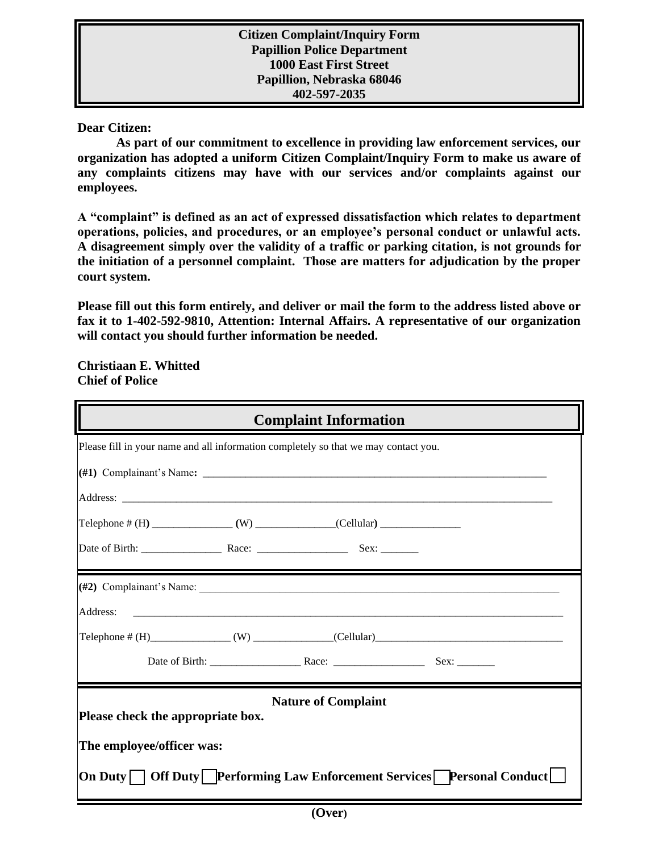**Dear Citizen:**

**As part of our commitment to excellence in providing law enforcement services, our organization has adopted a uniform Citizen Complaint/Inquiry Form to make us aware of any complaints citizens may have with our services and/or complaints against our employees.**

**A "complaint" is defined as an act of expressed dissatisfaction which relates to department operations, policies, and procedures, or an employee's personal conduct or unlawful acts. A disagreement simply over the validity of a traffic or parking citation, is not grounds for the initiation of a personnel complaint. Those are matters for adjudication by the proper court system.** 

**Please fill out this form entirely, and deliver or mail the form to the address listed above or fax it to 1-402-592-9810, Attention: Internal Affairs. A representative of our organization will contact you should further information be needed.**

**Christiaan E. Whitted Chief of Police**

| <b>Complaint Information</b>                                                        |  |  |  |  |  |
|-------------------------------------------------------------------------------------|--|--|--|--|--|
| Please fill in your name and all information completely so that we may contact you. |  |  |  |  |  |
|                                                                                     |  |  |  |  |  |
|                                                                                     |  |  |  |  |  |
|                                                                                     |  |  |  |  |  |
|                                                                                     |  |  |  |  |  |
|                                                                                     |  |  |  |  |  |
| Address:                                                                            |  |  |  |  |  |
| Telephone # $(H)$ (W) (Cellular) (Cellular)                                         |  |  |  |  |  |
|                                                                                     |  |  |  |  |  |
| <b>Nature of Complaint</b><br>Please check the appropriate box.                     |  |  |  |  |  |
| The employee/officer was:                                                           |  |  |  |  |  |
| On Duty   │ Off Duty   Lerforming Law Enforcement Services   Personal Conduct       |  |  |  |  |  |